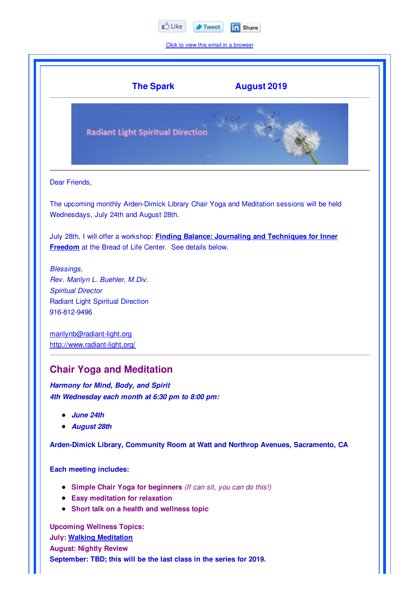

Click to view this email in a browser

|                                                                                   | <b>The Spark</b><br><b>August 2019</b>                                                                                                                     |  |
|-----------------------------------------------------------------------------------|------------------------------------------------------------------------------------------------------------------------------------------------------------|--|
|                                                                                   | <b>Radiant Light Spiritual Direction</b>                                                                                                                   |  |
| Dear Friends,                                                                     |                                                                                                                                                            |  |
|                                                                                   | The upcoming monthly Arden-Dimick Library Chair Yoga and Meditation sessions will be held<br>Wednesdays, July 24th and August 28th.                        |  |
|                                                                                   | July 28th, I will offer a workshop: <b>Finding Balance: Journaling and Techniques for Inner</b><br>Freedom at the Bread of Life Center. See details below. |  |
| Blessings,<br>916-812-9496                                                        | Rev. Marilyn L. Buehler, M.Div.<br><b>Spiritual Director</b><br><b>Radiant Light Spiritual Direction</b>                                                   |  |
|                                                                                   | marilynb@radiant-light.org<br>http://www.radiant-light.org/                                                                                                |  |
|                                                                                   | <b>Chair Yoga and Meditation</b>                                                                                                                           |  |
|                                                                                   | Harmony for Mind, Body, and Spirit<br>4th Wednesday each month at 6:30 pm to 8:00 pm:                                                                      |  |
|                                                                                   | June 24th<br><b>August 28th</b>                                                                                                                            |  |
| Arden-Dimick Library, Community Room at Watt and Northrop Avenues, Sacramento, CA |                                                                                                                                                            |  |
|                                                                                   | <b>Each meeting includes:</b>                                                                                                                              |  |
|                                                                                   | • Simple Chair Yoga for beginners (If can sit, you can do this!)                                                                                           |  |

- **Easy meditation for relaxation**
- **Short talk on a health and wellness topic**

**Upcoming Wellness Topics: July: Walking Meditation August: Nightly Review September: TBD; this will be the last class in the series for 2019.**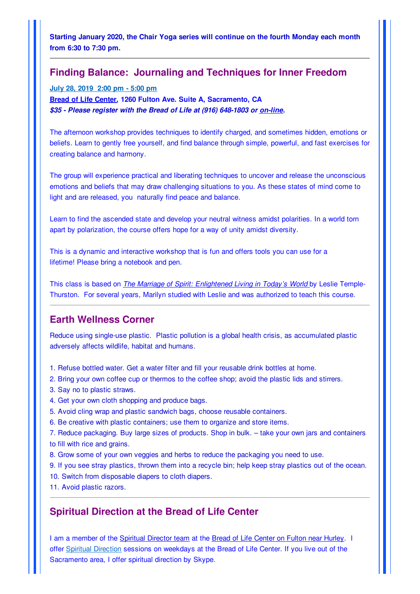**Starting January 2020, the Chair Yoga series will continue on the fourth Monday each month from 6:30 to 7:30 pm.**

## **Finding Balance: Journaling and Techniques for Inner Freedom**

**July 28, 2019 2:00 pm - 5:00 pm**

**Bread of Life Center, 1260 Fulton Ave. Suite A, Sacramento, CA** *\$35 - Please register with the Bread of Life at (916) 648-1803 or on-line.*

The afternoon workshop provides techniques to identify charged, and sometimes hidden, emotions or beliefs. Learn to gently free yourself, and find balance through simple, powerful, and fast exercises for creating balance and harmony.

The group will experience practical and liberating techniques to uncover and release the unconscious emotions and beliefs that may draw challenging situations to you. As these states of mind come to light and are released, you naturally find peace and balance.

Learn to find the ascended state and develop your neutral witness amidst polarities. In a world torn apart by polarization, the course offers hope for a way of unity amidst diversity.

This is a dynamic and interactive workshop that is fun and offers tools you can use for a lifetime! Please bring a notebook and pen.

This class is based on *The Marriage of Spirit: Enlightened Living in Today's World* by Leslie Temple-Thurston. For several years, Marilyn studied with Leslie and was authorized to teach this course.

## **Earth Wellness Corner**

Reduce using single-use plastic. Plastic pollution is a global health crisis, as accumulated plastic adversely affects wildlife, habitat and humans.

- 1. Refuse bottled water. Get a water filter and fill your reusable drink bottles at home.
- 2. Bring your own coffee cup or thermos to the coffee shop; avoid the plastic lids and stirrers.
- 3. Say no to plastic straws.
- 4. Get your own cloth shopping and produce bags.
- 5. Avoid cling wrap and plastic sandwich bags, choose reusable containers.
- 6. Be creative with plastic containers; use them to organize and store items.
- 7. Reduce packaging. Buy large sizes of products. Shop in bulk. take your own jars and containers to fill with rice and grains.
- 8. Grow some of your own veggies and herbs to reduce the packaging you need to use.
- 9. If you see stray plastics, thrown them into a recycle bin; help keep stray plastics out of the ocean.
- 10. Switch from disposable diapers to cloth diapers.
- 11. Avoid plastic razors.

## **Spiritual Direction at the Bread of Life Center**

I am a member of the Spiritual Director team at the Bread of Life Center on Fulton near Hurley. I offer Spiritual Direction sessions on weekdays at the Bread of Life Center. If you live out of the Sacramento area, I offer spiritual direction by Skype.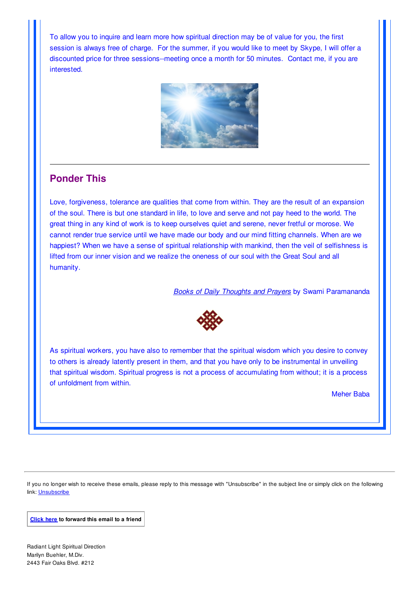To allow you to inquire and learn more how spiritual direction may be of value for you, the first session is always free of charge. For the summer, if you would like to meet by Skype, I will offer a discounted price for three sessions--meeting once a month for 50 minutes. Contact me, if you are interested.



## **Ponder This**

Love, forgiveness, tolerance are qualities that come from within. They are the result of an expansion of the soul. There is but one standard in life, to love and serve and not pay heed to the world. The great thing in any kind of work is to keep ourselves quiet and serene, never fretful or morose. We cannot render true service until we have made our body and our mind fitting channels. When are we happiest? When we have a sense of spiritual relationship with mankind, then the veil of selfishness is lifted from our inner vision and we realize the oneness of our soul with the Great Soul and all humanity.

*Books of Daily Thoughts and Prayers* by Swami Paramananda



As spiritual workers, you have also to remember that the spiritual wisdom which you desire to convey to others is already latently present in them, and that you have only to be instrumental in unveiling that spiritual wisdom. Spiritual progress is not a process of accumulating from without; it is a process of unfoldment from within.

Meher Baba

If you no longer wish to receive these emails, please reply to this message with "Unsubscribe" in the subject line or simply click on the following link: Unsubscribe

**Click here to forward this email to a friend**

Radiant Light Spiritual Direction Marilyn Buehler, M.Div. 2443 Fair Oaks Blvd. #212